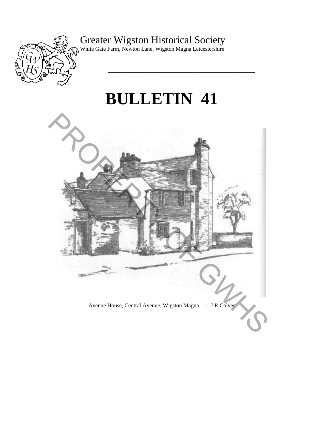

Greater Wigston Historical Society

White Gate Farm, Newton Lane, Wigston Magna Leicestershire

# **BULLETIN 41**

**\_\_\_\_\_\_\_\_\_\_\_\_\_\_\_\_\_\_\_\_\_\_\_\_\_\_\_\_\_\_\_\_\_\_\_\_\_\_\_** 

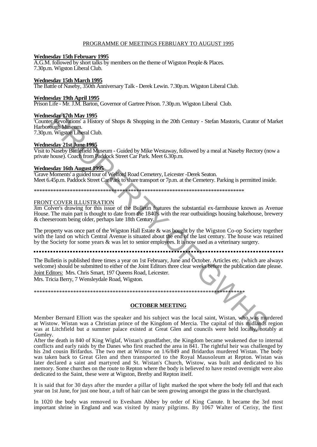#### PROGRAMME OF MEETINGS FEBRUARY TO AUGUST 1995

# **Wednesday 15th February 1995**

A.G.M. followed by short talks by members on the theme of Wigston People & Places. 7.30p.m. Wigston Liberal Club.

#### **Wednesday 15th March 1995**

The Battle of Naseby, 350th Anniversary Talk - Derek Lewin. 7.30p.m. Wigston Liberal Club.

#### **Wednesday 19th April 1995**

Prison Life - Mr. J.M. Barton, Governor of Gartree Prison. 7.30p.m. Wigston Liberal Club.

#### **Wednesday 17th May 1995**

'Counter Revolutions' a History of Shops & Shopping in the 20th Century - Stefan Mastoris, Curator of Market Harborough Museum.

7.30p.m. Wigston Liberal Club.

# **Wednesday 21st June 1995**

Visit to Naseby Battlefield Museum - Guided by Mike Westaway, followed by a meal at Naseby Rectory (now a private house). Coach from Paddock Street Car Park. Meet 6.30p.m.

#### **Wednesday 16th August 1995**

'Grave Moments' a guided tour of Welford Road Cemetery, Leicester -Derek Seaton. Meet 6.45p.m. Paddock Street Car Park to share transport or 7p.m. at the Cemetery. Parking is permitted inside.

\*\*\*\*\*\*\*\*\*\*\*\*\*\*\*\*\*\*\*\*\*\*\*\*\*\*\*\*\*\*\*\*\*\*\*\*\*\*\*\*\*\*\*\*\*\*\*\*\*\*\*\*\*\*\*\*\*\*\*\*\*\*\*\*\*\*\*\*\*\*\*\*\*\*\*\*

#### FRONT COVER ILLUSTRATION

Jim Colver's drawing for this issue of the Bulletin features the substantial ex-farmhouse known as Avenue House. The main part is thought to date from the 1840's with the rear outbuidings housing bakehouse, brewery & cheeseroom being older, perhaps late 18th Century.

The property was once part of the Wigston Hall Estate & was bought by the Wigston Co-op Society together with the land on which Central Avenue is situated about the end of the last century. The house was retained by the Society for some years & was let to senior employees. It is now used as a veterinary surgery.

\*\*\*\*\*\*\*\*\*\*\*\*\*\*\*\*\*\*\*\*\*\*\*\*\*\*\*\*\*\*\*\*\*\*\*\*\*\*\*\*\*\*\*\*\*\*\*\*\*\*\*\*\*\*\*\*\*\*\*\*\*\*\*\*\*\*\*\*\*\*\*\*\*\*\*

The Bulletin is published three times a year on 1st February, June and October. Articles etc. (which are always welcome) should be submitted to either of the Joint Editors three clear weeks before the publication date please. Joint Editors: Mrs. Chris Smart, 197 Queens Road, Leicester. Mrs. Tricia Berry, 7 Wensleydale Road, Wigston. **Exam Value 1995**<br> **Exam Value 1995**<br> **Exam Value 1995**<br> **Exam Value 1995**<br> **Example Make Solutions** a History of Shops & Shopping in the 20th Century - Stefan Mastoris, Curator of N<br> **ON Nigstor Liberal Club.**<br> **Proper Ma** 

**OCTOBER MEETING**

Member Bernard Elliott was the speaker and his subject was the local saint, Wistan, who was murdered at Wistow. Wistan was a Christian prince of the Kingdom of Mercia. The capital of this midlands region was at Litchfield but *a* summer palace existed at Great Glen and councils were held locally, notably at Gumley.

After the death in 840 of King Wiglaf, Wistan's grandfather, the Kingdom became weakened due to internal conflicts and early raids by the Danes who first reached the area in 841. The rightful heir was challenged by his 2nd cousin Brifardus. The two met at Wistow on 1/6/849 and Bridardus murdered Wistan. The body was taken back to Great Glen and then transported to the Royal Mausoleum at Repton. Wistan was later declared a saint and martyred and St. Wistan's Church, Wistow, was built and dedicated to his memory. Some churches on the route to Repton where the body is believed to have rested overnight were also dedicated to the Saint, these were at Wigston, Bretby and Repton itself.

It is said that for 30 days after the murder a pillar of light marked the spot where the body fell and that each year on 1st June, for just one hour, a tuft of hair can be seen growing amongst the grass in the churchyard.

In 1020 the body was removed to Evesham Abbey by order of King Canute. It became the 3rd most important shrine in England and was visited by many pilgrims. By 1067 Walter of Cerisy, the first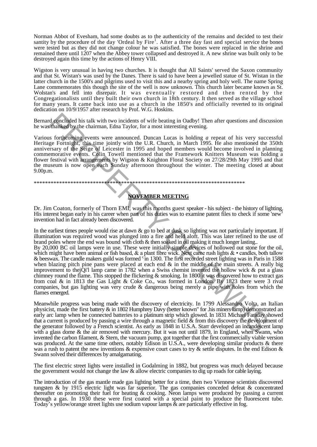Norman Abbot of Evesham, had some doubts as to the authenticity of the remains and decided to test their santity by the procedure of the day 'Ordeal by Fire<sup>1</sup>. After a three day fast and special service the bones were tested but as they did not change colour he was satisfied. The bones were replaced in the shrine and remained there until 1207 when the Abbey tower collapsed and destroyed it. A new shrine was built only to be destroyed again this time by the actions of Henry VIII.

Wigston is very unusual in having two churches. It is thought that All Saints' served the Saxon community and that St. Wistan's was used by the Danes. There is said to have been a jewelled statue of St. Wistan in the latter church in the 1500's and pilgrims used to visit this and a nearby spring and holy well. The name Spring Lane commemorates this though the site of the well is now unknown. This church later became known as St. Wolstan's and fell into disrepair. It was eventually restored and then rented by the Congregationalists until they built their own church in 18th century. It then served as the village school for many years. It came back into use as a church in the 1850's and officially reverted to its original dedication on 10/9/1957 after research by Prof. W.G. Hoskins.

Bernard concluded his talk with two incidents of wife beating in Oadby! Then after questions and discussion he was thanked by the chairman, Edna Taylor, for a most interesting evening.

Various forthcoming events were announced. Duncan Lucas is holding *a* repeat of his very successful Heritage Fortnight, this time jointly with the U.R. Church, in March 1995. He also mentioned the 350th anniversary of the Seige of Leicester in 1995 and hoped members would become involved in planning commemorative events. Colin Towell mentioned that the Framework Knitters Museum was holding a flower festival with arrangements by Wigston & Knighton Floral Society on 27/28/29th May 1995 and that the museum is now open each Sunday afternoon throughout the winter. The meeting closed at about 9.00p.m.

# \*\*\*\*\*\*\*\*\*\*\*\*\*\*\*\*\*\*\*\*\*\*\*\*\*\*\*\*\*\*\*\*\*\*\*\*\*\*\*\*\*\*\*\*\*\*\*\*\*\*\*\*\*\*\*\*\*\*\*\*\*\*\*\*\*\*\*\*\*\*\*\*\*\*\*

# **NOVEMBER MEETING**

Dr. Jim Coaton, formerly of Thorn EMI, was this months guest speaker - his subject - the history of lighting. His interest began early in his career when part of his duties was to examine patent files to check if some 'new invention had in fact already been discovered.

In the earliest times people would rise at dawn  $\&$  go to bed at dusk so lighting was not particularly important. If illumination was required wood was plunged into a fire and held aloft. This was later refined to the use of brand poles where the end was bound with cloth & then soaked in oil making it much longer lasting.. By 20,000 BC oil lamps were in use. These were initially simple devices of hollowed out stone for the oil,

which might have been animal or fish based,  $\&$  a plant fibre wick. Next came rush lights  $\& \cdot$  candles, both tallow & beeswax. The candle makers guild was formed <sup>i</sup> in 1300. The first recorded street lighting was in Paris in 1588 when blazing pitch pine pans were placed at each end  $\&$  in the middle of the main streets. A really big improvement to thejQi'l lamp came in 1782 when a Swiss chemist invented the hollow wick & put a glass chimney round the flame. This stopped the flickering & smoking. In 1800 it was discovered how to extract gas from coal & in 1813 the Gas Light & Coke Co., was formed in London. By 1823 there were 3 rival companies, but gas lighting was very crude & dangerous being merely a pipe with holes from which the flames emerged. rd concluded his talk with two incidents of wife beating in Oadly! Then after questions and discordance and the concluse is forther after the standard with chain and a standard wife concluse is positive and the U.R. Churc

Meanwhile progress was being made with the discovery of electricity. In 1799 Alessandro Volta, an Italian physicist, made the first battery & in 1802 Humphrey Davy (better known" for .his miners lamp) demonstrated an early arc lamp when he connected batteries to a platinum strip which glowed. In 1831 Michael Faraday showed that a current is produced by passing a wire through a magnetic field  $\&$  from this discovery the development of the generator followed by a French scientist. As early as 1848 in U.S.A. Starr developed an incandescent lamp with a glass dome & the air removed with mercury. But it was not until 1879, in England, when Swann, who invented the carbon filament, & Stern, the vacuum pump, got together that the first commercially viable version was produced. At the same time others, notably Edison in U.S.A., were developing similar products & there was a rush to patent the new inventions & expensive court cases to try & settle disputes. In the end Edison & Swann solved their differences by amalgamating.

The first electric street lights were installed in Godalming in 1882, but progress was much delayed because the government would not change the law & allow electric companies to dig up roads for cable laying.

The introduction of the gas mantle made gas lighting better for a time, then two Viennese scientists discovered tungsten & by 1915 electric light was far superior. The gas companies conceded defeat & concentrated thereafter on promoting their fuel for heating & cooking. Neon lamps were produced by passing a current through a gas. In 1930 these were first coated with a special paint to produce the fluorescent tube. Today's yellow/orange street lights use sodium vapour lamps & are particularly effective in fog.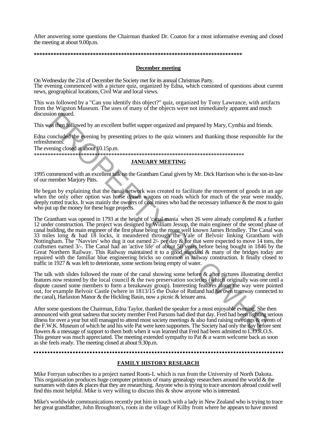After answering some questions the Chairman thanked Dr. Coaton for a most informative evening and closed the meeting at about 9.00p.m.

#### **\*\*\*\*\*\*\*\*\*\*\*\*\*\*\*\*\*\*\*\*\*\*\*\*\*\*\*\*\*\*\*\*\*\*\*\*\*\*\*\*\*\*\*\*\*\*\*\*\*\*\*\*\*\*\*\*\*\*\*\*\*\*\*\*\*\*\*\*\*\*\*\*\*\***

#### **December meeting**

On Wednesday the 21st of December the Society met for its annual Christmas Party. The evening commenced with a picture quiz, organized by Edna, which consisted of questions about current news, geographical locations, Civil War and local views.

This was followed by a "Can you identify this object?" quiz, organized by Tony Lawrance, with artifacts from the Wigston Museum. The uses of many of the objects were not immediately apparent and much discussion ensued.

This was then followed by an excellent buffet supper organized and prepared by Mary, Cynthia and friends.

Edna concluded the evening by presenting prizes to the quiz winners and thanking those responsible for the refreshments.

The evening closed at about 10.15p.m. \*\*\*\*\*\*\*\*\*\*\*\*\*\*\*\*\*\*\*\*\*\*\*\*\*\*\*\*\*\*\*\*\*\*\*\*\*\*\*\*\*\*\*\*\*\*\*\*\*\*\*\*\*\*\*\*\*\*\*\*\*\*\*\*\*\*\*\*\*\*\*\*\*\*\*\*

# **JANUARY MEETING**

1995 commenced with an excellent talk on the Grantham Canal given by Mr. Dick Harrison who is the son-in-law of our member Marjory Pitts.

He began by explaining that the canal network was created to facilitate the movement of goods in an age when the only other option was horse drawn wagons on roads which for much of the year were muddy, deeply rutted tracks. It was mainly the owners of coal mines who had the necessary influence & the most to gain who put up the money for these huge projects.

The Grantham was opened in 1793 at the height of 'canal mania' when 26 were already completed  $\&$  a further 12 under construction. The project was designed by William Jessup, the main engineer of the second phase of canal building, the main engineer of the first phase being the more well known James Brindley. The Canal was 33 miles long & had 18 locks, it meandered through the Vale of Belvoir linking Grantham with Nottingham. The "Navvies' who dug it out earned 2/- per day & for that were expected to move 14 tons, the craftsmen earned 3/-. The Canal had an 'active life' of about 50 years before being bought in 1846 by the Great Northern Railway. This Railway maintained it to a good standard & many of the bridges today are repaired with the familiar blue engineering bricks so common in railway construction. It finally closed to traffic in 1927 & was left to deteriorate, some sections being empty of water. sion ensued.<br>
significantly allowed by an excellent buffet supper organized and prepared by Mary, Cynthia and friend<br>
concluded the evening by presenting prizes to the quiz winners and thanking those responsible former<br>
me

The talk with slides followed the route of the canal showing some before & after pictures illustrating derelict features now restored by the local council & the two preservation societies (which originally was one until a dispute caused some members to form a breakaway group). Interesting features along the way were pointed out, for example Belvoir Castle (where in 1813/15 the Duke of Rutland had his own tramway connected to the canal), Harlaxton Manor & the Hickling Basin, now a picnic & leisure area.

After some questions the Chairman, Edna Taylor, thanked the speaker for a most enjoyable evening. She then announced with great sadness that society member Fred Parsons had died that day. Fred had been fighting serious illness for over a year but still managed to attend most society meetings  $\&$  also fund raising meetings  $\&$  events of the F.W.K. Museum of which he and his wife Pat were keen supporters. The Society had only the day before sent flowers & a message of support to them both when it was learned that Fred had been admitted to L.O.R.O.S. This gesture was much appreciated. The meeting extended sympathy to Pat & *a* warm welcome back as soon as she feels ready. The meeting closed at about 9.30p.m.

# **FAMILY HISTORY RESEARCH**

Mike Forryan subscribes to a project named Roots-L which is run from the University of North Dakota. This organisation produces huge computer printouts of many genealogy researchers around the world  $\&$  the surnames with dates & places that they are researching. Anyone who is trying to trace ancestors abroad could well find this most helpful. Mike is very willing to discuss this  $\&$  show anyone who is interested.

Mike's worldwide communications recently put him in touch with a lady in New Zealand who is trying to trace her great grandfather, John Broughton's, roots in the village of Kilby from where he appears to have moved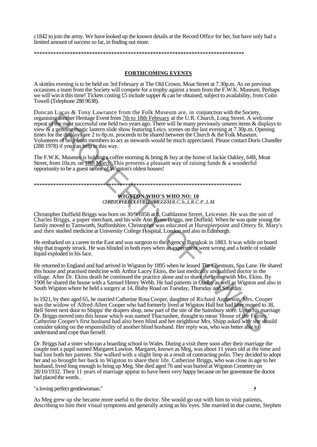c1842 to join the army. We have looked up the known details at the Record Office for her, but have only had a limited amount of success so far, in finding out more.

\*\*\*\*\*\*\*\*\*\*\*\*\*\*\*\*\*\*\*\*\*\*\*\*\*\*\*\*\*\*\*\*\*\*\*\*\*\*\*\*\*\*\*\*\*\*\*\*\*\*\*\*\*\*\*\*\*\*\*\*\*\*\*\*\*\*\*\*\*\*\*\*\*\*\*\*

# **FORTHCOMING EVENTS**

A skittles evening is to be held on 3rd February at The Old Crown, Moat Street at 7.30p.m. As on previous occasions a team from the Society will compete for a trophy against a team from the F.W.K. Museum. Perhaps we will win it this time! Tickets costing £5 include supper & can be obtained, subject to availability, from Colin Towell (Telephone 288 9638).

Duncan Lucas & Tony Lawrance from the Folk Museum are, in conjunction with the Society, organising another Heritage Event from 7th to 18th February at the U.R. Church, Long Street. A welcome repeat of the most successful one held two years ago. There will be many previously unseen items & displays to view & a genuine magic lantern slide show featuring Leics. scenes on the last evening at 7.30p.m. Opening times for the displays are 2 to 8p.m. proceeds to be shared between the Church & the Folk Museum. Volunteers of help from members to act as stewards would be much appreciated. Please contact Doris Chandler (288 1978) if you can help in this way.

The F.W.K. Museum is holding a coffee morning & bring & buy at the home of Jackie Oakley, 64B, Moat Street, from 10a.m. on 18th March. This presents a pleasant way of raising funds & a wonderful opportunity to be a guest in one of Wigston's oldest houses!

```
***************************************************************************
```
# **WIGSTON WHO'S WHO NO: 10** *CHRISTOPHER DUFFIELD BRIGGS M. R . C . S-. , L. R . C . P . , L .M.*

Christopher Duffield Briggs was born on 30/9/1856 at 8, Guthlaxton Street, Leicester. He was the son of Charles Briggs, a paper merchant, and his wife Ann Byers Briggs, nee Duffield. When he was quite young the family moved to Tamworth, Staffordshire. Christopher was educated at Hurstpierpoint and Ottery St. Mary's and then studied medicine at University College Hospital, London and also in Edinburgh.

He embarked on a career in the East and was surgeon to the Agency, Bangkok in 1883. It was while on board ship that tragedy struck. He was blinded in both eyes when an experiment went wrong and a bottle of volatile liquid exploded in his face.

He returned to England and had arrived in Wigston by 1895 when he leased The Chestnuts, Spa Lane. He shared this house and practised medicine with Arthur Lacey Ekins, the last medically unqualified doctor in the village. After Dr. Ekins death he continued the practice alone and to share the house with Mrs. Ekins. By 1908 he shared the house with a Samuel Henry Webb. He had patients in Oadby as well as Wigston and also in South Wigston where he held a surgery at 14, Blaby Road on Tuesday, Thursday and Saturday.

In 1921, by then aged 65, he married Catherine Rosa Cooper, daughter of Richard Anderson. Mrs. Cooper was the widow of Alfred Allen Cooper who had formerly lived at Wigston Hall but had later moved to 38, Bell Street next door to Shipps' the drapers shop, now part of the site of the Sainsbury store. Upon his marriage Dr. Briggs moved into this house which was named Thacnashee, thought to mean 'House of the Fairies.' Catherine Cooper's first husband had also been blind and her neighbour Mrs. Shipp asked why she should consider taking on the responsibility of another blind husband. Her reply was, who was better able to understand and cope than herself. in Antare to Forger Extendant the O.B. Francouties and the U.B. Comparison with the Content of the Content of the Content of the Content of the Content of the Content of the Content of the Content of the Content of the Con

Dr. Briggs had a sister who ran a boarding school in Wales. During a visit there soon after their marriage the couple met a pupil named Margaret Lawton. Margaret, known as Meg, was about 11 years old at the time and had lost both her parents. She walked with a slight limp as a result of contracting polio. They decided to adopt her and so brought her back to Wigston to share their life. Catherine Briggs, who was close in age to her husband, lived long enough to bring up Meg. She died aged 76 and was buried at Wigston Cemetery on 28/10/1932. Their 11 years of marriage appear to have been very happy because on her gravestone the doctor had placed the words.

"a loving perfect gentlewoman." *•',*

As Meg grew up she became more useful to the doctor. She would go out with him to visit patients, describing to him their visual symptoms and generally acting as his 'eyes. She married in due course, Stephen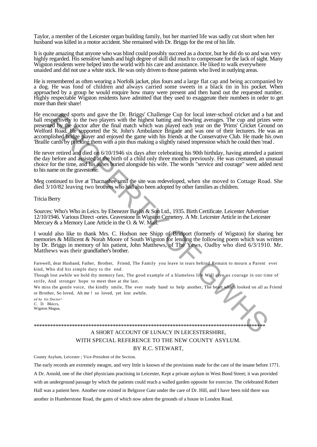Taylor, a member of the Leicester organ building family, but her married life was sadly cut short when her husband was killed in a motor accident. She remained with Dr. Briggs for the rest of his life.

It is quite amazing that anyone who was blind could possibly succeed as a doctor, but he did do so and was very highly regarded. His sensitive hands and high degree of skill did much to compensate for the lack of sight. Many Wigston residents were helped into the world with his care and assistance. He liked to walk everywhere unaided and did not use a white stick. He was only driven to those patients who lived in outlying areas.

He is remembered as often wearing a Norfolk jacket, plus fours and a large flat cap and being accompanied by a dog. He was fond of children and always carried some sweets in a black tin in his pocket. When approached by a group he would enquire how many were present and then hand out the requested number. Highly respectable Wigston residents have admitted that they used to exaggerate their numbers in order to get more than their share!

He encouraged sports and gave the Dr. Briggs' Challenge Cup for local inter-school cricket and a bat and ball respectively to the two players with the highest batting and bowling averages. The cup and prizes were presented by the doctor after the final match which was played each year on the 'Prims' Cricket Ground on Welford Road. He supported the St. John's Ambulance Brigade and was one of their lecturers. He was an accomplished bridge player and enjoyed the game with his friends at the Conservative Club. He made his own 'Braille' cards by pricking them with a pin thus making a slightly raised impression which he could then 'read' . course of poster and gave the Dr. Brugs' Challenge Cup for focal inter-school cricket and a head of the Burgsy Challenge Cup for focal inter-school cricket and a head of the focal phisophore of the frame match which was pl

He never retired and died on 6/10/1946 six days after celebrating his 90th birthday, having attended a patient the day before and assisted at the birth of a child only three months previously. He was cremated, an unusual choice for the time, and his ashes buried alongside his wife. The words "service and courage" were added next to his name on the gravestone.

Meg continued to live at Thacnashee until the site was redeveloped, when she moved to Cottage Road. She died 3/10/82 leaving two brothers who had also been adopted by other families as children.

Tricia Berry

Sources: Who's Who in Leics. by Ebenezer Baylis & Son Ltd., 1935. Birth Certificate. Leicester Advertiser 12/10/1946. Various Direct -ories. Gravestone in Wigston Cemetery. A Mr. Leicester Article in the Leicester Mercury & a Memory Lane Article in the O. & W. Mail.

I would also like to thank Mrs. C. Hodson nee Shipp of Bridport (formerly of Wigston) for sharing her memories & Millicent & Norah Moore of South Wigston for lending the following poem which was written by Dr. Briggs in memory of his patient, John Matthews, of The Yews, Oadby who died 6/3/1910. Mr. Matthews was their grandfather's brother.

Farewell, dear Husband, Father, Brother, Friend, The Family you leave in tears behind Remain to mourn a Parent ever kind, Who did his simple duty to the end.

Though lost awhile we hold thy memory fast, The good example of a blameless life Will give us courage in our time of strife, And stronger hope to meet thee at the last.

We miss the gentle voice, the kindly smile, The ever ready hand to help another, The heart which looked on all as Friend or Brother, So loved, Ah me ! so loved, yet lost awhile.

*ed by kis Doctor^ C.* D. Bkiccs, Wigston Magua,

# \*\*\*\*\*\*\*\*\*\*\*\*\*\*\*\*\*\*\*\*\*\*\*\*\*\*\*\*\*\*\*\*\*\*\*\*\*\*\*\*\*\*\*\*\*\*\*\*\*\*\*\*\*\*\*\*\*\*\*\*\*\*\*\*\*\*\*\*\*\*\*\*\*\*\*\*\*\*\*\*\*\*\*\*\* A SHORT ACCOUNT OF LUNACY IN LEICESTERSHIRE, WITH SPECIAL REFERENCE TO THE NEW COUNTY ASYLUM. BY R.C. STEWART,

County Asylum, Leicester ; Vice-President of the Section.

The early records are extremely meagre, and very little is known of the provisions made for the care of the insane before 1771.

A Dr. Arnold, one of the chief physicians practising in Leicester, Kept a private asylum in West Bond Street; it was provided with an underground passage by which the patients could reach a walled garden opposite for exercise. The celebrated Robert Hall was a patient here. Another one existed in Belgrave Gate under the care of Dr. Hill, and I have been told there was another in Humberstone Road, the gates of which now adorn the grounds of a house in London Road.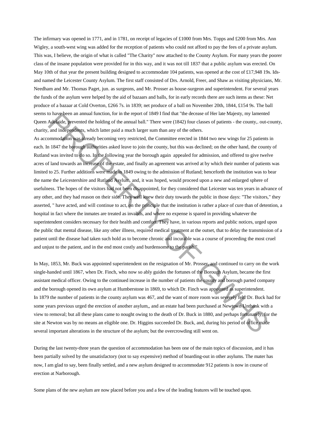The infirmary was opened in 1771, and in 1781, on receipt of legacies of £1000 from Mrs. Topps and £200 from Mrs. Ann Wigley, a south-west wing was added for the reception of patients who could not afford to pay the fees of a private asylum. This was, I believe, the origin of what is called "The Charity" now attached to the County Asylum. For many years the poorer class of the insane population were provided for in this way, and it was not till 1837 that a public asylum was erected. On May 10th of that year the present building designed to accommodate 104 patients, was opened at the cost of £17,948 19s. Idsand named the Leicester County Asylum. The first staff consisted of Drs. Arnold, Freer, and Shaw as visiting physicians, Mr. Needham and Mr. Thomas Paget, jun. as surgeons, and Mr. Prosser as house-surgeon and superintendent. For several years the funds of the asylum were helped by the aid of bazaars and balls, for in early records there are such items as these: Net produce of a bazaar at Cold Overton, £266 7s. in 1839; net produce of a ball on November 20th, 1844, £154 9s. The ball seems to have been an annual function, for in the report of 1849 I find that "the decease of Her late Majesty, my lamented Queen Adelaide, prevented the holding of the annual ball." There were (1842) four classes of patients - the county,. out-county, charity, and independents, which latter paid a much larger sum than any of the others.

As accommodation was already becoming very restricted, the Committee erected in 1844 two new wings for 25 patients in each. In 1847 the borough authorities asked leave to join the county, but this was declined; on the other hand, the county of Rutland was invited to do so. In the following year the borough again appealed for admission, and offered to give twelve acres of land towards an increase of the estate, and finally an agreement was arrived at by which their number of patients was limited to 25. Further additions were made in 1849 owing to the admission of Rutland; henceforth the institution was to bear the name the Leicestershire and Rutland Asylum, and, it was hoped, would proceed upon a new and enlarged sphere of usefulness. The hopes of the visitors had not been disappointed, for they considered that Leicester was ten years in advance of any other, and they had reason on their side. They well knew their duty towards the public in those days: "The visitors," they asserted, " have acted, and will continue to act, on the principle that the institution is rather a place of cure than of detention, a hospital in fact where the inmates are treated as invalids, and where no expense is spared in providing whatever the superintendent considers necessary for their health and comfort. They have, in various reports and public notices, urged upon the public that mental disease, like any other illness, required medical treatment at the outset, that to delay the transmission of a patient until the disease had taken such hold as to become chronic and incurable was a course of proceeding the most cruel and unjust to the patient, and in the end most costly and burdensome to the parish." To have been at minual tunction, for in the report of 1889 I mathem the uccease of Her Hare Mayesty, my lumented and independents, which later paid a much larger sum than the uccease of Piertiest-sets of mini-<br>and independ

In May, 1853, Mr. Buck was appointed superintendent on the resignation of Mr. Prosser, and continued to carry on the work single-handed until 1867, when Dr. Finch, who now so ably guides the fortunes of the Borough Asylum, became the first assistant medical officer. Owing to the continued increase in the number of patients the county and borough parted company and the borough opened its own asylum at Humberstone in 1869, to which Dr. Finch was appointed as superintendent. In 1879 the number of patients in the county asylum was 467, and the want of more room was severely felt. Dr. Buck had for some years previous urged the erection of another asylum,, and an estate had been purchased at Newtown Unthank with a view to removal; but all these plans came to nought owing to the death of Dr. Buck in 1880, and perhaps fortunately, for the site at Newton was by no means an eligible one. Dr. Higgins succeeded Dr. Buck, and, during his period of office made several important alterations in the structure of the asylum; but the overcrowding still went on.

During the last twenty-three years the question of accommodation has been one of the main topics of discussion, and it has been partially solved by the unsatisfactory (not to say expensive) method of boarding-out in other asylums. The mater has now, I am glad to say, been finally settled, and a new asylum designed to accommodate 912 patients is now in course of erection at Narborough.

Some plans of the new asylum are now placed before you and a few of the leading features will be touched upon.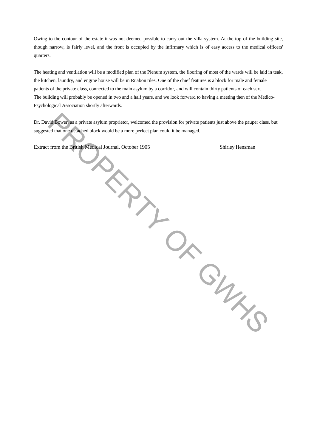Owing to the contour of the estate it was not deemed possible to carry out the villa system. At the top of the building site, though narrow, is fairly level, and the front is occupied by the infirmary which is of easy access to the medical officers' quarters.

The heating and ventilation will be a modified plan of the Plenum system, the flooring of most of the wards will be laid in teak, the kitchen, laundry, and engine house will be in Ruabon tiles. One of the chief features is a block for male and female patients of the private class, connected to the main asylum by a corridor, and will contain thirty patients of each sex. The building will probably be opened in two and a half years, and we look forward to having a meeting then of the Medico-Psychological Association shortly afterwards.

Dr. David Bower, as a private asylum proprietor, welcomed the provision for private patients just above the pauper class, but suggested that one detached block would be a more perfect plan could it be managed. era figure as a private asylum proprietor, welcomed the provision for private patients just above the pauper class,<br>ed that one definition of block would be a more perfect plan could it be managed.<br>From the British Medheal

Extract from the British Medical Journal. October 1905 Shirley Hensman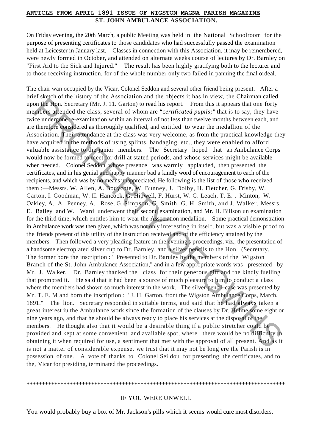#### **ARTICLE FROM APRIL 1891 ISSUE OF WIGSTON MAGNA PARISH MAGAZINE ST. JOHN AMBULANCE ASSOCIATION.**

On Friday evening, the 20th March, a public Meeting was held in the National Schoolroom for the purpose of presenting certificates to those candidates who had successfully passed the examination held at Leicester in January last. Classes in connection with this Association, it may be remembered, were newly formed in October, and attended on alternate weeks course of lectures by Dr. Barnley on "First Aid to the Sick and Injured." The result has been highly gratifying both to the lecturer and to those receiving instruction, for of the whole number only two failed in panning the final ordeal.

The chair wan occupied by the Vicar, Colonel Seddon and several other friend being present. After a brief sketch of the history of the Association and the objects it has in view, the Chairman called upon the Hon. Secretary (Mr. J. 11. Garton) to read his report. From this it appears that one forty members attended the class, several of whom are "*certificated pupils;*" that is to say, they have twice undergone re-examination within an interval of not less than twelve months between each, and are therefore considered as thoroughly qualified, and entitled to wear the medallion of the Association. Their attendance at the class was very welcome, as from the practical knowledge they have acquired in the methods of using splints, bandaging, etc., they were enabled to afford valuable assistance to the junior members. The Secretary hoped that an Ambulance Corps would now be formed to meet for drill at stated periods, and whose services might be available when needed. Colonel Seddon, whose presence was warmly applauded, then presented the certificates, and in his genial and happy manner bad a kindly word of encouragement to each of the recipients, and which was by no means unappreciated. He following is the list of those who received them :—Messrs. W. Allen, A. Bodycote, W. Bunney, J. Dolby, H. Fletcher, G. Frisby, W. Garton, I. Goodman, W. II. Hancock, G. Hipwell, F. Hurst, W. G. Leach, T. E. . Minton, W. Oakley, A. A. Penney, A. Rose, G. Simpson, G. Smith, G. H. Smith, and J. Walker. Messrs. E. Bailey and W. Ward underwent their second examination, and Mr. H. Billson un examination for the third time, which entitles him to wear the Association medallion. Some practical demonstration in Ambulance work was then given, which was not only interesting in itself, but was a visible proof to the friends present of this utility of the instruction received and of the efficiency attained by the members. Then followed a very pleading feature in the evening's proceedings, viz., the presentation of a handsome electroplated silver cup to Dr. Barnley, and a silver pencils to the Hon. (Secretary. The former bore the inscription : "Presented to Dr. Baruley by the members of the Wigston Branch of the St. John Ambulance Association," and in a few appropriate words was presented by Mr. J. Walker. Dr. Barnley thanked the class for their generous gift and the kindly fuelling that prompted it. He said that it had been a source of much pleasure to him to conduct a class where the members had shown so much interest in the work. The silver pencil-case was presented by Mr. T. E. M and born the inscription : " J. H. Garton, front the Wigston Ambulance Corps, March, 1891." The lion. Secretary responded in suitable terms, aud said that he had always taken a great interest iu the Ambulance work since the formation of the clauses by Dr. Hulme some eight or nine years ago, and that he should be always ready to place his services at the disposal of the members. He thought also that it would be a desirable thing if a public stretcher could be provided and kept at some convenient and available spot, where there would be no difficulty in obtaining it when required for use, a sentiment that met with the approval of all present. And as it is not a matter of considerable expense, we trust that it may not be long ere the Parish is in possession of one. A vote of thanks to Colonel Seildou for presenting the certificates, and to the, Vicar for presiding, terminated the proceedings. on the Hon. Secretary (Mr. J. 11. Garton) to read his report. From this it appears that one forty infederal medical the class, several of whom are "certificated profis;" that is to say, they have the condenoted the class,

#### \*\*\*\*\*\*\*\*\*\*\*\*\*\*\*\*\*\*\*\*\*\*\*\*\*\*\*\*\*\*\*\*\*\*\*\*\*\*\*\*\*\*\*\*\*\*\*\*\*\*\*\*\*\*\*\*\*\*\*\*\*\*\*\*\*\*\*\*\*\*\*\*\*\*\*\*\*\*\*\*\*\*\*\*

#### IF YOU WERE UNWELL

You would probably buy a box of Mr. Jackson's pills which it seems would cure most disorders.